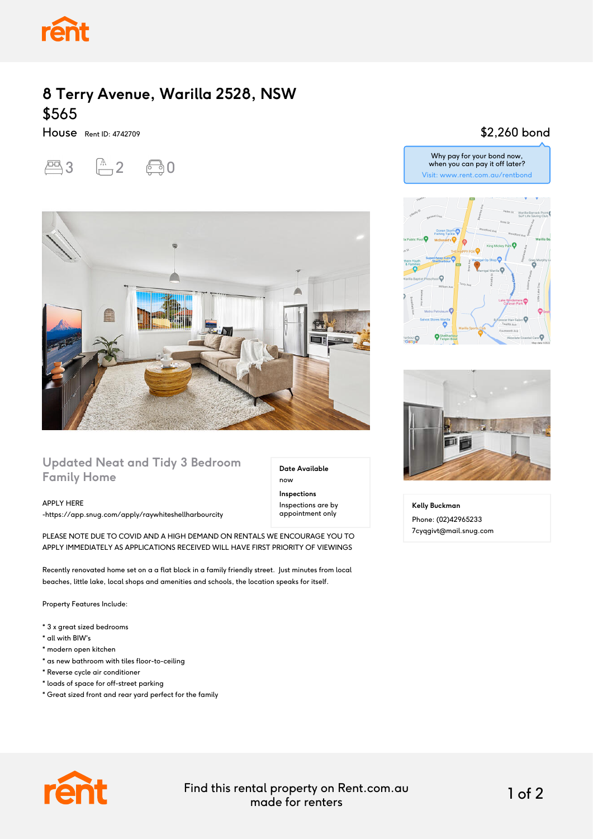

## **8 Terry Avenue, Warilla 2528, NSW** \$565

House Rent ID: 4742709

 $20$   $-2$   $0$ 



## **Updated Neat and Tidy 3 Bedroom Family Home**

APPLY HERE

-https://app.snug.com/apply/raywhiteshellharbourcity

PLEASE NOTE DUE TO COVID AND A HIGH DEMAND ON RENTALS WE ENCOURAGE YOU TO APPLY IMMEDIATELY AS APPLICATIONS RECEIVED WILL HAVE FIRST PRIORITY OF VIEWINGS

Recently renovated home set on a a flat block in a family friendly street. Just minutes from local beaches, little lake, local shops and amenities and schools, the location speaks for itself.

Property Features Include:

- \* 3 x great sized bedrooms
- \* all with BIW's
- \* modern open kitchen
- \* as new bathroom with tiles floor-to-ceiling
- \* Reverse cycle air conditioner
- \* loads of space for off-street parking
- \* Great sized front and rear yard perfect for the family



Why pay for your bond now, when you can pay it off later? Visit: www.rent.com.au/rentbond





**Kelly Buckman** Phone: (02)42965233 7cyqgivt@mail.snug.com



Find this rental property on Rent.com.au made for renters 1 of 2

**Date Available**

now **Inspections** Inspections are by appointment only